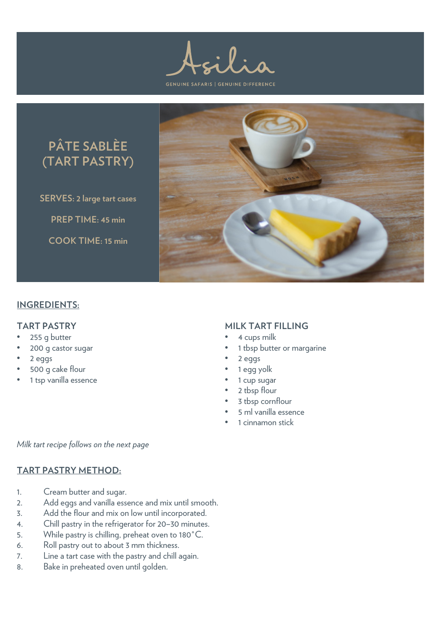**GENUINE SAFARIS | GENUINE DIFFERENCE** 



**SERVES: 2 large tart cases PREP TIME: 45 min COOK TIME: 15 min**



## **INGREDIENTS:**

#### **TART PASTRY**

- 255 g butter
- 200 g castor sugar
- 2 eggs
- 500 g cake flour
- 1 tsp vanilla essence

### **MILK TART FILLING**

- 4 cups milk
- 1 tbsp butter or margarine
- 2 eggs
- 1 egg yolk
- 1 cup sugar
- 2 tbsp flour
- 3 tbsp cornflour
- 5 ml vanilla essence
- 1 cinnamon stick

*Milk tart recipe follows on the next page*

## **TART PASTRY METHOD:**

- 1. Cream butter and sugar.
- 2. Add eggs and vanilla essence and mix until smooth.
- 3. Add the flour and mix on low until incorporated.
- 4. Chill pastry in the refrigerator for 20–30 minutes.
- 5. While pastry is chilling, preheat oven to 180˚C.
- 6. Roll pastry out to about 3 mm thickness.
- 7. Line a tart case with the pastry and chill again.
- 8. Bake in preheated oven until golden.